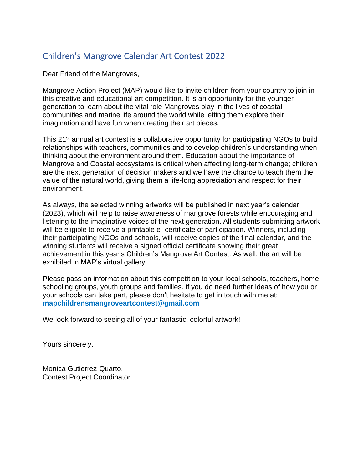# Children's Mangrove Calendar Art Contest 2022

Dear Friend of the Mangroves,

Mangrove Action Project (MAP) would like to invite children from your country to join in this creative and educational art competition. It is an opportunity for the younger generation to learn about the vital role Mangroves play in the lives of coastal communities and marine life around the world while letting them explore their imagination and have fun when creating their art pieces.

This 21<sup>st</sup> annual art contest is a collaborative opportunity for participating NGOs to build relationships with teachers, communities and to develop children's understanding when thinking about the environment around them. Education about the importance of Mangrove and Coastal ecosystems is critical when affecting long-term change; children are the next generation of decision makers and we have the chance to teach them the value of the natural world, giving them a life-long appreciation and respect for their environment.

As always, the selected winning artworks will be published in next year's calendar (2023), which will help to raise awareness of mangrove forests while encouraging and listening to the imaginative voices of the next generation. All students submitting artwork will be eligible to receive a printable e- certificate of participation. Winners, including their participating NGOs and schools, will receive copies of the final calendar, and the winning students will receive a signed official certificate showing their great achievement in this year's Children's Mangrove Art Contest. As well, the art will be exhibited in MAP's virtual gallery.

Please pass on information about this competition to your local schools, teachers, home schooling groups, youth groups and families. If you do need further ideas of how you or your schools can take part, please don't hesitate to get in touch with me at: **mapchildrensmangroveartcontest@gmail.com**

We look forward to seeing all of your fantastic, colorful artwork!

Yours sincerely,

Monica Gutierrez-Quarto. Contest Project Coordinator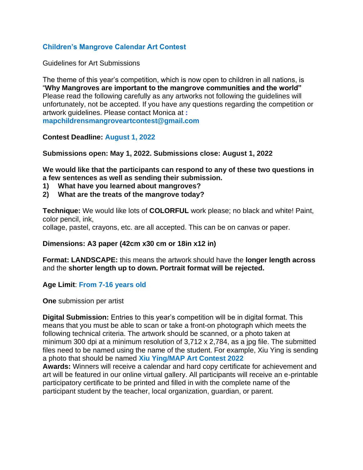# **Children's Mangrove Calendar Art Contest**

Guidelines for Art Submissions

The theme of this year's competition, which is now open to children in all nations, is "**Why Mangroves are important to the mangrove communities and the world"**  Please read the following carefully as any artworks not following the guidelines will unfortunately, not be accepted. If you have any questions regarding the competition or artwork guidelines. Please contact Monica at **: mapchildrensmangroveartcontest@gmail.com**

## **Contest Deadline: August 1, 2022**

**Submissions open: May 1, 2022. Submissions close: August 1, 2022**

**We would like that the participants can respond to any of these two questions in a few sentences as well as sending their submission.**

- **1) What have you learned about mangroves?**
- **2) What are the treats of the mangrove today?**

**Technique:** We would like lots of **COLORFUL** work please; no black and white! Paint, color pencil, ink,

collage, pastel, crayons, etc. are all accepted. This can be on canvas or paper.

### **Dimensions: A3 paper (42cm x30 cm or 18in x12 in)**

**Format: LANDSCAPE:** this means the artwork should have the **longer length across**  and the **shorter length up to down. Portrait format will be rejected.**

### **Age Limit**: **From 7-16 years old**

**One** submission per artist

**Digital Submission:** Entries to this year's competition will be in digital format. This means that you must be able to scan or take a front-on photograph which meets the following technical criteria. The artwork should be scanned, or a photo taken at minimum 300 dpi at a minimum resolution of 3,712 x 2,784, as a jpg file. The submitted files need to be named using the name of the student. For example, Xiu Ying is sending a photo that should be named **Xiu Ying/MAP Art Contest 2022 Awards:** Winners will receive a calendar and hard copy certificate for achievement and art will be featured in our online virtual gallery. All participants will receive an e-printable

participatory certificate to be printed and filled in with the complete name of the participant student by the teacher, local organization, guardian, or parent.